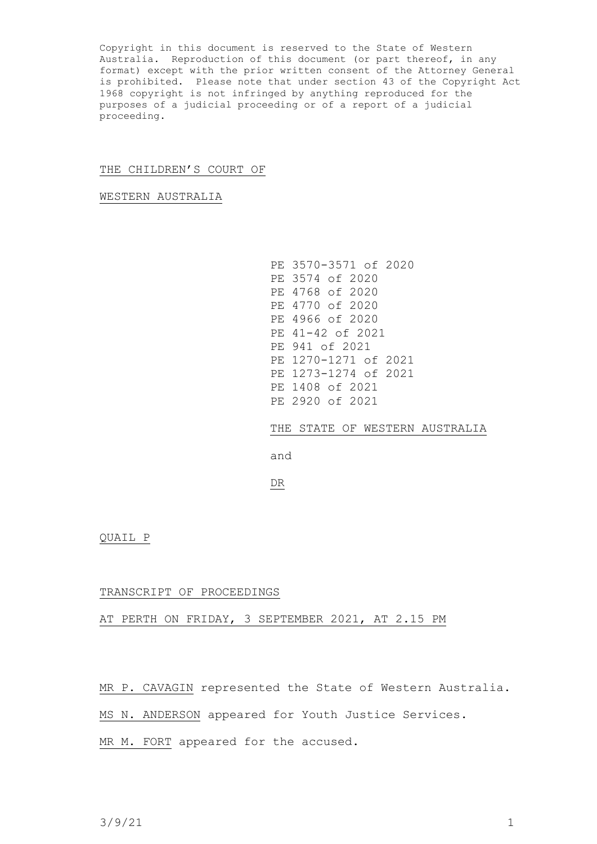Copyright in this document is reserved to the State of Western Australia. Reproduction of this document (or part thereof, in any format) except with the prior written consent of the Attorney General is prohibited. Please note that under section 43 of the Copyright Act 1968 copyright is not infringed by anything reproduced for the purposes of a judicial proceeding or of a report of a judicial proceeding.

## THE CHILDREN'S COURT OF

WESTERN AUSTRALIA

PE 3570-3571 of 2020 PE 3574 of 2020 PE 4768 of 2020 PE 4770 of 2020 PE 4966 of 2020 PE 41-42 of 2021 PE 941 of 2021 PE 1270-1271 of 2021 PE 1273-1274 of 2021 PE 1408 of 2021 PE 2920 of 2021

THE STATE OF WESTERN AUSTRALIA

and

DR

QUAIL P

## TRANSCRIPT OF PROCEEDINGS

## AT PERTH ON FRIDAY, 3 SEPTEMBER 2021, AT 2.15 PM

MR P. CAVAGIN represented the State of Western Australia.

MS N. ANDERSON appeared for Youth Justice Services.

MR M. FORT appeared for the accused.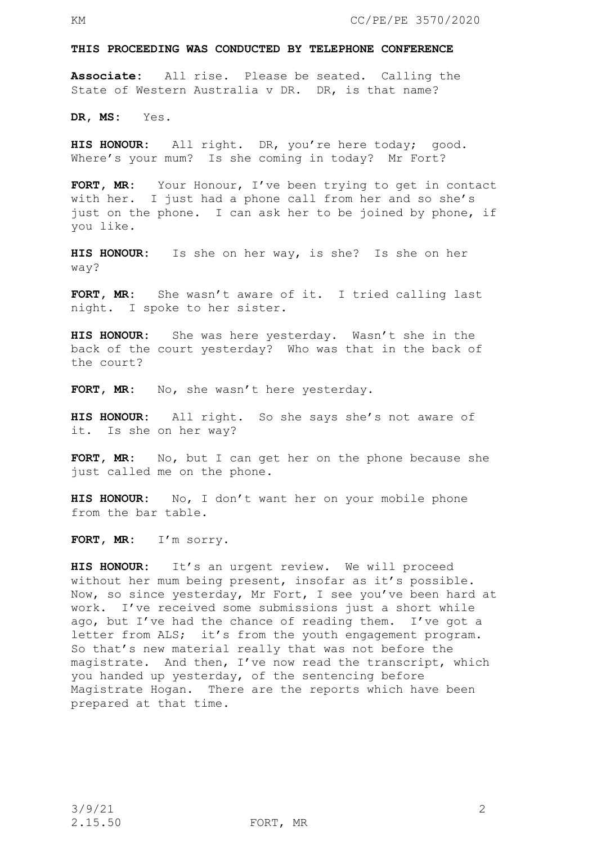#### **THIS PROCEEDING WAS CONDUCTED BY TELEPHONE CONFERENCE**

**Associate:** All rise. Please be seated. Calling the State of Western Australia v DR. DR, is that name?

**DR, MS:** Yes.

**HIS HONOUR:** All right. DR, you're here today; good. Where's your mum? Is she coming in today? Mr Fort?

**FORT, MR:** Your Honour, I've been trying to get in contact with her. I just had a phone call from her and so she's just on the phone. I can ask her to be joined by phone, if you like.

**HIS HONOUR:** Is she on her way, is she? Is she on her way?

**FORT, MR:** She wasn't aware of it. I tried calling last night. I spoke to her sister.

**HIS HONOUR:** She was here yesterday. Wasn't she in the back of the court yesterday? Who was that in the back of the court?

FORT, MR: No, she wasn't here yesterday.

**HIS HONOUR:** All right. So she says she's not aware of it. Is she on her way?

**FORT, MR:** No, but I can get her on the phone because she just called me on the phone.

**HIS HONOUR:** No, I don't want her on your mobile phone from the bar table.

**FORT, MR:** I'm sorry.

**HIS HONOUR:** It's an urgent review. We will proceed without her mum being present, insofar as it's possible. Now, so since yesterday, Mr Fort, I see you've been hard at work. I've received some submissions just a short while ago, but I've had the chance of reading them. I've got a letter from ALS; it's from the youth engagement program. So that's new material really that was not before the magistrate. And then, I've now read the transcript, which you handed up yesterday, of the sentencing before Magistrate Hogan. There are the reports which have been prepared at that time.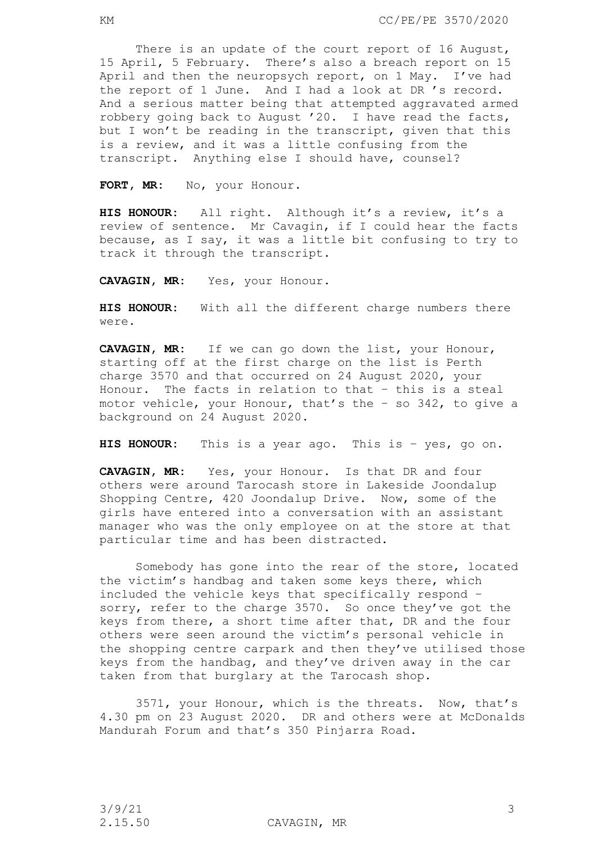There is an update of the court report of 16 August, 15 April, 5 February. There's also a breach report on 15 April and then the neuropsych report, on 1 May. I've had the report of 1 June. And I had a look at DR 's record. And a serious matter being that attempted aggravated armed robbery going back to August '20. I have read the facts, but I won't be reading in the transcript, given that this is a review, and it was a little confusing from the transcript. Anything else I should have, counsel?

FORT, MR: No, your Honour.

**HIS HONOUR:** All right. Although it's a review, it's a review of sentence. Mr Cavagin, if I could hear the facts because, as I say, it was a little bit confusing to try to track it through the transcript.

**CAVAGIN, MR:** Yes, your Honour.

**HIS HONOUR:** With all the different charge numbers there were.

**CAVAGIN, MR:** If we can go down the list, your Honour, starting off at the first charge on the list is Perth charge 3570 and that occurred on 24 August 2020, your Honour. The facts in relation to that – this is a steal motor vehicle, your Honour, that's the – so 342, to give a background on 24 August 2020.

**HIS HONOUR:** This is a year ago. This is – yes, go on.

**CAVAGIN, MR:** Yes, your Honour. Is that DR and four others were around Tarocash store in Lakeside Joondalup Shopping Centre, 420 Joondalup Drive. Now, some of the girls have entered into a conversation with an assistant manager who was the only employee on at the store at that particular time and has been distracted.

Somebody has gone into the rear of the store, located the victim's handbag and taken some keys there, which included the vehicle keys that specifically respond – sorry, refer to the charge 3570. So once they've got the keys from there, a short time after that, DR and the four others were seen around the victim's personal vehicle in the shopping centre carpark and then they've utilised those keys from the handbag, and they've driven away in the car taken from that burglary at the Tarocash shop.

3571, your Honour, which is the threats. Now, that's 4.30 pm on 23 August 2020. DR and others were at McDonalds Mandurah Forum and that's 350 Pinjarra Road.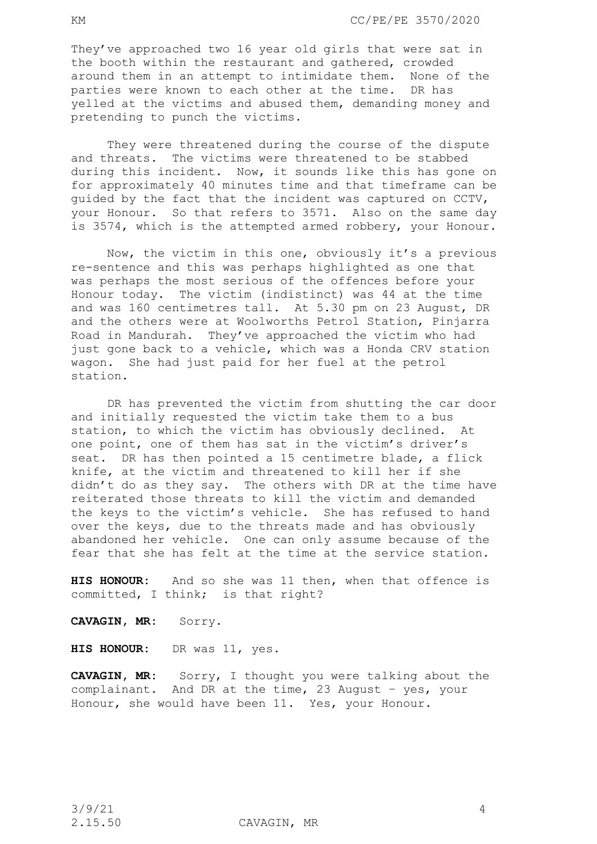They've approached two 16 year old girls that were sat in the booth within the restaurant and gathered, crowded around them in an attempt to intimidate them. None of the parties were known to each other at the time. DR has yelled at the victims and abused them, demanding money and pretending to punch the victims.

They were threatened during the course of the dispute and threats. The victims were threatened to be stabbed during this incident. Now, it sounds like this has gone on for approximately 40 minutes time and that timeframe can be guided by the fact that the incident was captured on CCTV, your Honour. So that refers to 3571. Also on the same day is 3574, which is the attempted armed robbery, your Honour.

Now, the victim in this one, obviously it's a previous re-sentence and this was perhaps highlighted as one that was perhaps the most serious of the offences before your Honour today. The victim (indistinct) was 44 at the time and was 160 centimetres tall. At 5.30 pm on 23 August, DR and the others were at Woolworths Petrol Station, Pinjarra Road in Mandurah. They've approached the victim who had just gone back to a vehicle, which was a Honda CRV station wagon. She had just paid for her fuel at the petrol station.

DR has prevented the victim from shutting the car door and initially requested the victim take them to a bus station, to which the victim has obviously declined. At one point, one of them has sat in the victim's driver's seat. DR has then pointed a 15 centimetre blade, a flick knife, at the victim and threatened to kill her if she didn't do as they say. The others with DR at the time have reiterated those threats to kill the victim and demanded the keys to the victim's vehicle. She has refused to hand over the keys, due to the threats made and has obviously abandoned her vehicle. One can only assume because of the fear that she has felt at the time at the service station.

**HIS HONOUR:** And so she was 11 then, when that offence is committed, I think; is that right?

**CAVAGIN, MR:** Sorry.

**HIS HONOUR:** DR was 11, yes.

**CAVAGIN, MR:** Sorry, I thought you were talking about the complainant. And DR at the time, 23 August – yes, your Honour, she would have been 11. Yes, your Honour.

2.15.50 CAVAGIN, MR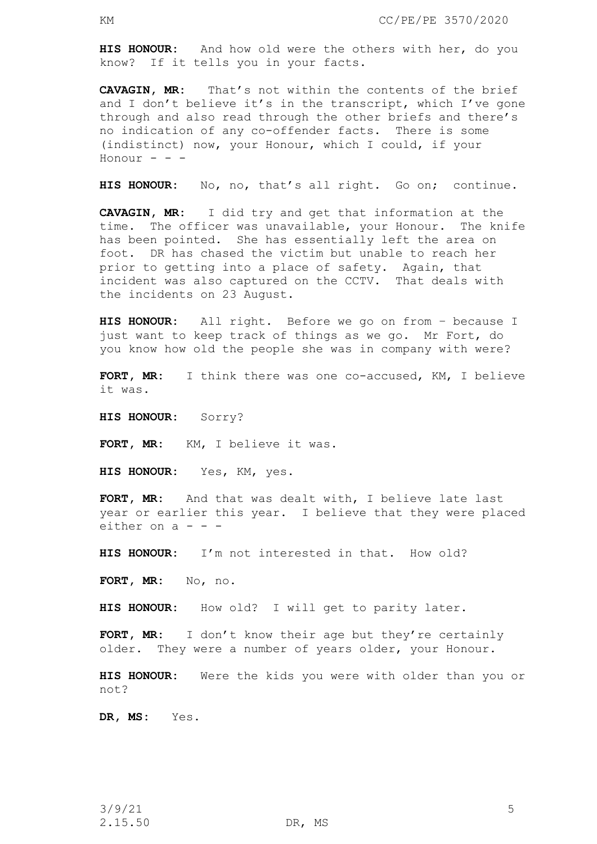**HIS HONOUR:** And how old were the others with her, do you know? If it tells you in your facts.

**CAVAGIN, MR:** That's not within the contents of the brief and I don't believe it's in the transcript, which I've gone through and also read through the other briefs and there's no indication of any co-offender facts. There is some (indistinct) now, your Honour, which I could, if your Honour  $-$ 

**HIS HONOUR:** No, no, that's all right. Go on; continue.

**CAVAGIN, MR:** I did try and get that information at the time. The officer was unavailable, your Honour. The knife has been pointed. She has essentially left the area on foot. DR has chased the victim but unable to reach her prior to getting into a place of safety. Again, that incident was also captured on the CCTV. That deals with the incidents on 23 August.

**HIS HONOUR:** All right. Before we go on from – because I just want to keep track of things as we go. Mr Fort, do you know how old the people she was in company with were?

**FORT, MR:** I think there was one co-accused, KM, I believe it was.

**HIS HONOUR:** Sorry?

FORT, MR: KM, I believe it was.

**HIS HONOUR:** Yes, KM, yes.

**FORT, MR:** And that was dealt with, I believe late last year or earlier this year. I believe that they were placed either on  $a - -$ 

**HIS HONOUR:** I'm not interested in that. How old?

**FORT, MR:** No, no.

**HIS HONOUR:** How old? I will get to parity later.

**FORT, MR:** I don't know their age but they're certainly older. They were a number of years older, your Honour.

**HIS HONOUR:** Were the kids you were with older than you or not?

**DR, MS:** Yes.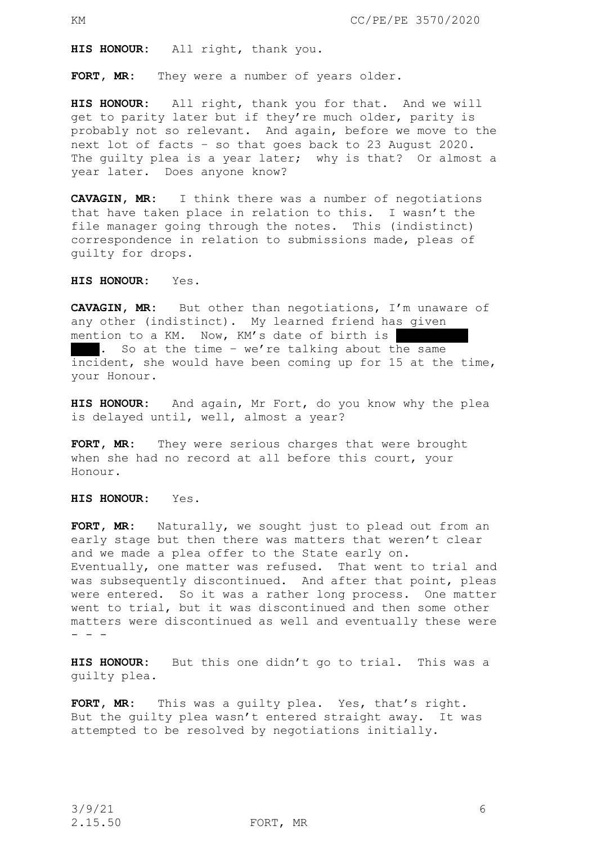**HIS HONOUR:** All right, thank you.

**FORT, MR:** They were a number of years older.

**HIS HONOUR:** All right, thank you for that. And we will get to parity later but if they're much older, parity is probably not so relevant. And again, before we move to the next lot of facts – so that goes back to 23 August 2020. The guilty plea is a year later; why is that? Or almost a year later. Does anyone know?

**CAVAGIN, MR:** I think there was a number of negotiations that have taken place in relation to this. I wasn't the file manager going through the notes. This (indistinct) correspondence in relation to submissions made, pleas of guilty for drops.

**HIS HONOUR:** Yes.

**CAVAGIN, MR:** But other than negotiations, I'm unaware of any other (indistinct). My learned friend has given mention to a KM. Now, KM's date of birth is . So at the time - we're talking about the same incident, she would have been coming up for 15 at the time, your Honour.

**HIS HONOUR:** And again, Mr Fort, do you know why the plea is delayed until, well, almost a year?

**FORT, MR:** They were serious charges that were brought when she had no record at all before this court, your Honour.

**HIS HONOUR:** Yes.

**FORT, MR:** Naturally, we sought just to plead out from an early stage but then there was matters that weren't clear and we made a plea offer to the State early on. Eventually, one matter was refused. That went to trial and was subsequently discontinued. And after that point, pleas were entered. So it was a rather long process. One matter went to trial, but it was discontinued and then some other matters were discontinued as well and eventually these were - - -

**HIS HONOUR:** But this one didn't go to trial. This was a guilty plea.

**FORT, MR:** This was a guilty plea. Yes, that's right. But the guilty plea wasn't entered straight away. It was attempted to be resolved by negotiations initially.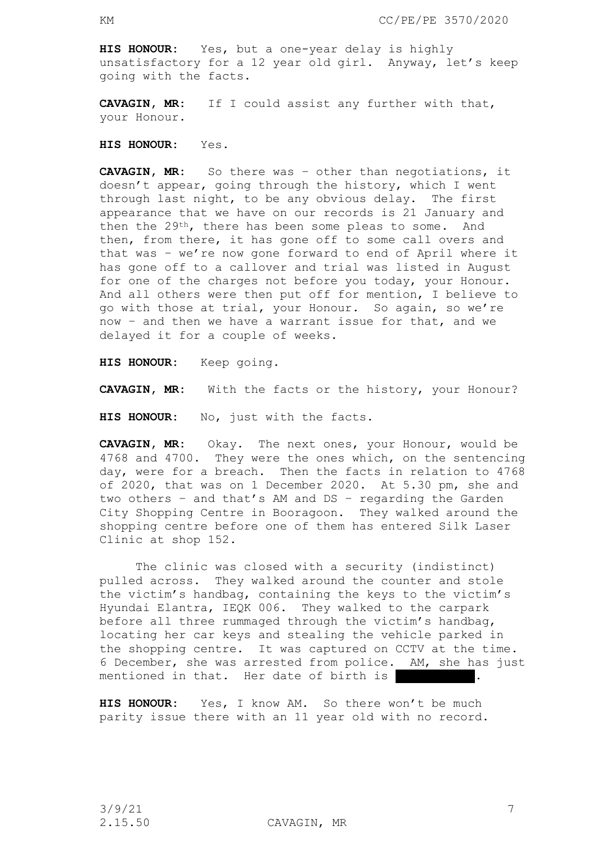**HIS HONOUR:** Yes, but a one-year delay is highly unsatisfactory for a 12 year old girl. Anyway, let's keep going with the facts.

**CAVAGIN, MR:** If I could assist any further with that, your Honour.

**HIS HONOUR:** Yes.

**CAVAGIN, MR:** So there was – other than negotiations, it doesn't appear, going through the history, which I went through last night, to be any obvious delay. The first appearance that we have on our records is 21 January and then the 29th, there has been some pleas to some. And then, from there, it has gone off to some call overs and that was – we're now gone forward to end of April where it has gone off to a callover and trial was listed in August for one of the charges not before you today, your Honour. And all others were then put off for mention, I believe to go with those at trial, your Honour. So again, so we're now – and then we have a warrant issue for that, and we delayed it for a couple of weeks.

**HIS HONOUR:** Keep going.

**CAVAGIN, MR:** With the facts or the history, your Honour?

**HIS HONOUR:** No, just with the facts.

**CAVAGIN, MR:** Okay. The next ones, your Honour, would be 4768 and 4700. They were the ones which, on the sentencing day, were for a breach. Then the facts in relation to 4768 of 2020, that was on 1 December 2020. At 5.30 pm, she and two others – and that's AM and DS – regarding the Garden City Shopping Centre in Booragoon. They walked around the shopping centre before one of them has entered Silk Laser Clinic at shop 152.

The clinic was closed with a security (indistinct) pulled across. They walked around the counter and stole the victim's handbag, containing the keys to the victim's Hyundai Elantra, IEQK 006. They walked to the carpark before all three rummaged through the victim's handbag, locating her car keys and stealing the vehicle parked in the shopping centre. It was captured on CCTV at the time. 6 December, she was arrested from police. AM, she has just mentioned in that. Her date of birth is

**HIS HONOUR:** Yes, I know AM. So there won't be much parity issue there with an 11 year old with no record.

2.15.50 CAVAGIN, MR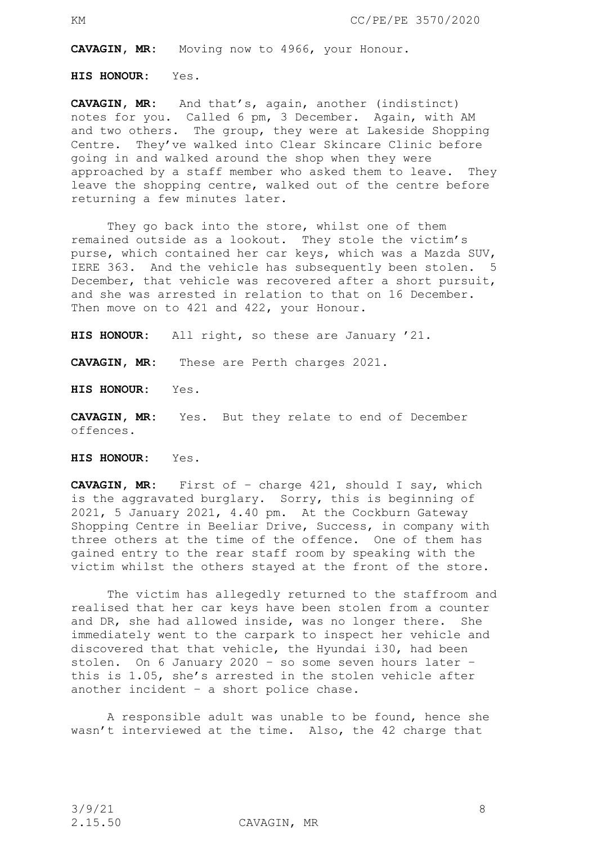**CAVAGIN, MR:** Moving now to 4966, your Honour.

**HIS HONOUR:** Yes.

**CAVAGIN, MR:** And that's, again, another (indistinct) notes for you. Called 6 pm, 3 December. Again, with AM and two others. The group, they were at Lakeside Shopping Centre. They've walked into Clear Skincare Clinic before going in and walked around the shop when they were approached by a staff member who asked them to leave. They leave the shopping centre, walked out of the centre before returning a few minutes later.

They go back into the store, whilst one of them remained outside as a lookout. They stole the victim's purse, which contained her car keys, which was a Mazda SUV, IERE 363. And the vehicle has subsequently been stolen. 5 December, that vehicle was recovered after a short pursuit, and she was arrested in relation to that on 16 December. Then move on to 421 and 422, your Honour.

**HIS HONOUR:** All right, so these are January '21.

**CAVAGIN, MR:** These are Perth charges 2021.

**HIS HONOUR:** Yes.

**CAVAGIN, MR:** Yes. But they relate to end of December offences.

**HIS HONOUR:** Yes.

**CAVAGIN, MR:** First of – charge 421, should I say, which is the aggravated burglary. Sorry, this is beginning of 2021, 5 January 2021, 4.40 pm. At the Cockburn Gateway Shopping Centre in Beeliar Drive, Success, in company with three others at the time of the offence. One of them has gained entry to the rear staff room by speaking with the victim whilst the others stayed at the front of the store.

The victim has allegedly returned to the staffroom and realised that her car keys have been stolen from a counter and DR, she had allowed inside, was no longer there. She immediately went to the carpark to inspect her vehicle and discovered that that vehicle, the Hyundai i30, had been stolen. On 6 January 2020 – so some seven hours later – this is 1.05, she's arrested in the stolen vehicle after another incident – a short police chase.

A responsible adult was unable to be found, hence she wasn't interviewed at the time. Also, the 42 charge that

2.15.50 CAVAGIN, MR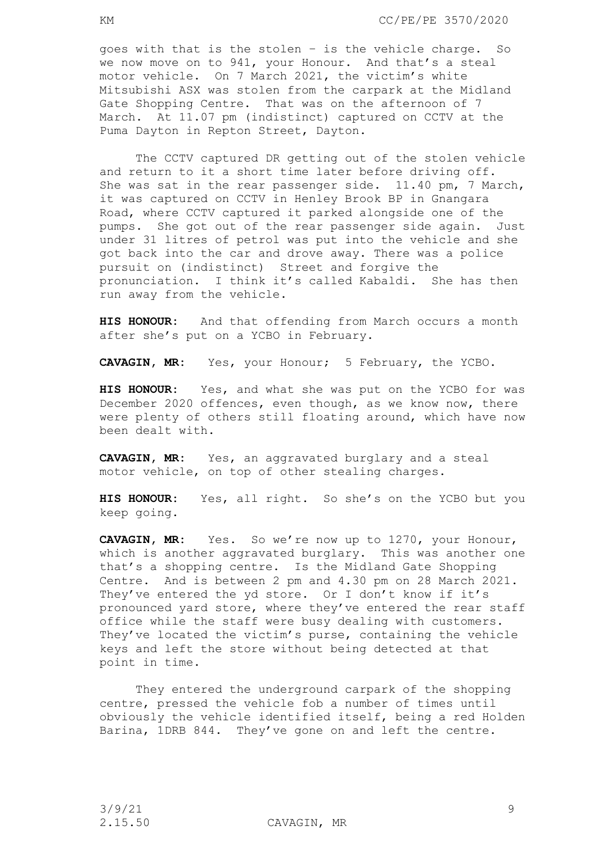goes with that is the stolen – is the vehicle charge. So we now move on to 941, your Honour. And that's a steal motor vehicle. On 7 March 2021, the victim's white Mitsubishi ASX was stolen from the carpark at the Midland Gate Shopping Centre. That was on the afternoon of 7 March. At 11.07 pm (indistinct) captured on CCTV at the Puma Dayton in Repton Street, Dayton.

The CCTV captured DR getting out of the stolen vehicle and return to it a short time later before driving off. She was sat in the rear passenger side. 11.40 pm, 7 March, it was captured on CCTV in Henley Brook BP in Gnangara Road, where CCTV captured it parked alongside one of the pumps. She got out of the rear passenger side again. Just under 31 litres of petrol was put into the vehicle and she got back into the car and drove away. There was a police pursuit on (indistinct) Street and forgive the pronunciation. I think it's called Kabaldi. She has then run away from the vehicle.

**HIS HONOUR:** And that offending from March occurs a month after she's put on a YCBO in February.

**CAVAGIN, MR:** Yes, your Honour; 5 February, the YCBO.

**HIS HONOUR:** Yes, and what she was put on the YCBO for was December 2020 offences, even though, as we know now, there were plenty of others still floating around, which have now been dealt with.

**CAVAGIN, MR:** Yes, an aggravated burglary and a steal motor vehicle, on top of other stealing charges.

**HIS HONOUR:** Yes, all right. So she's on the YCBO but you keep going.

**CAVAGIN, MR:** Yes. So we're now up to 1270, your Honour, which is another aggravated burglary. This was another one that's a shopping centre. Is the Midland Gate Shopping Centre. And is between 2 pm and 4.30 pm on 28 March 2021. They've entered the yd store. Or I don't know if it's pronounced yard store, where they've entered the rear staff office while the staff were busy dealing with customers. They've located the victim's purse, containing the vehicle keys and left the store without being detected at that point in time.

They entered the underground carpark of the shopping centre, pressed the vehicle fob a number of times until obviously the vehicle identified itself, being a red Holden Barina, 1DRB 844. They've gone on and left the centre.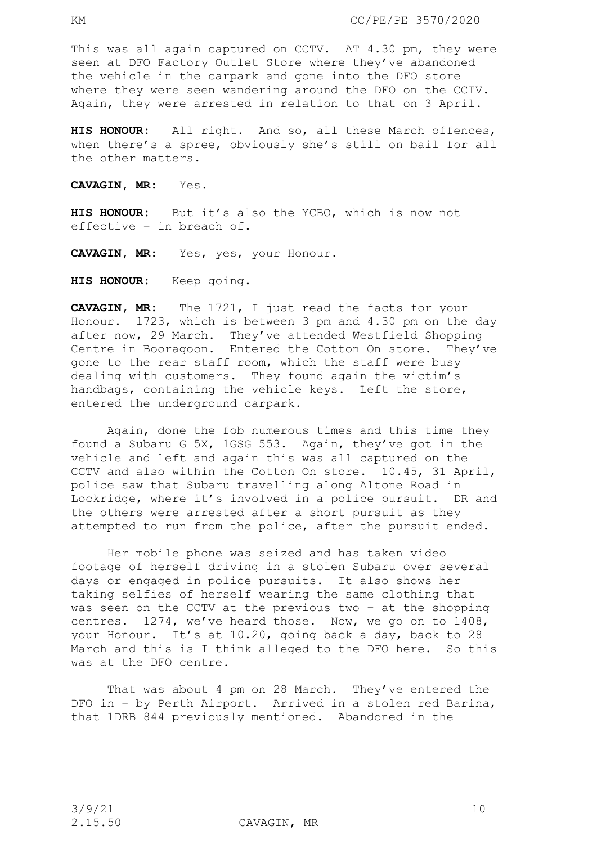This was all again captured on CCTV. AT 4.30 pm, they were seen at DFO Factory Outlet Store where they've abandoned the vehicle in the carpark and gone into the DFO store where they were seen wandering around the DFO on the CCTV. Again, they were arrested in relation to that on 3 April.

**HIS HONOUR:** All right. And so, all these March offences, when there's a spree, obviously she's still on bail for all the other matters.

**CAVAGIN, MR:** Yes.

**HIS HONOUR:** But it's also the YCBO, which is now not effective – in breach of.

**CAVAGIN, MR:** Yes, yes, your Honour.

**HIS HONOUR:** Keep going.

**CAVAGIN, MR:** The 1721, I just read the facts for your Honour. 1723, which is between 3 pm and 4.30 pm on the day after now, 29 March. They've attended Westfield Shopping Centre in Booragoon. Entered the Cotton On store. They've gone to the rear staff room, which the staff were busy dealing with customers. They found again the victim's handbags, containing the vehicle keys. Left the store, entered the underground carpark.

Again, done the fob numerous times and this time they found a Subaru G 5X, 1GSG 553. Again, they've got in the vehicle and left and again this was all captured on the CCTV and also within the Cotton On store. 10.45, 31 April, police saw that Subaru travelling along Altone Road in Lockridge, where it's involved in a police pursuit. DR and the others were arrested after a short pursuit as they attempted to run from the police, after the pursuit ended.

Her mobile phone was seized and has taken video footage of herself driving in a stolen Subaru over several days or engaged in police pursuits. It also shows her taking selfies of herself wearing the same clothing that was seen on the CCTV at the previous two – at the shopping centres. 1274, we've heard those. Now, we go on to 1408, your Honour. It's at 10.20, going back a day, back to 28 March and this is I think alleged to the DFO here. So this was at the DFO centre.

That was about 4 pm on 28 March. They've entered the DFO in – by Perth Airport. Arrived in a stolen red Barina, that 1DRB 844 previously mentioned. Abandoned in the

2.15.50 CAVAGIN, MR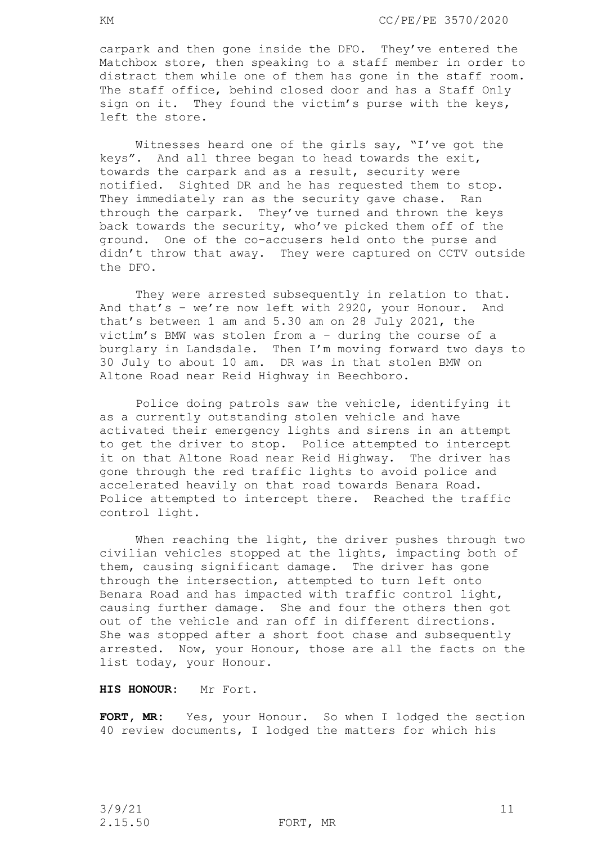carpark and then gone inside the DFO. They've entered the Matchbox store, then speaking to a staff member in order to distract them while one of them has gone in the staff room. The staff office, behind closed door and has a Staff Only sign on it. They found the victim's purse with the keys, left the store.

Witnesses heard one of the girls say, "I've got the keys". And all three began to head towards the exit, towards the carpark and as a result, security were notified. Sighted DR and he has requested them to stop. They immediately ran as the security gave chase. Ran through the carpark. They've turned and thrown the keys back towards the security, who've picked them off of the ground. One of the co-accusers held onto the purse and didn't throw that away. They were captured on CCTV outside the DFO.

They were arrested subsequently in relation to that. And that's – we're now left with 2920, your Honour. And that's between 1 am and 5.30 am on 28 July 2021, the victim's BMW was stolen from a – during the course of a burglary in Landsdale. Then I'm moving forward two days to 30 July to about 10 am. DR was in that stolen BMW on Altone Road near Reid Highway in Beechboro.

Police doing patrols saw the vehicle, identifying it as a currently outstanding stolen vehicle and have activated their emergency lights and sirens in an attempt to get the driver to stop. Police attempted to intercept it on that Altone Road near Reid Highway. The driver has gone through the red traffic lights to avoid police and accelerated heavily on that road towards Benara Road. Police attempted to intercept there. Reached the traffic control light.

When reaching the light, the driver pushes through two civilian vehicles stopped at the lights, impacting both of them, causing significant damage. The driver has gone through the intersection, attempted to turn left onto Benara Road and has impacted with traffic control light, causing further damage. She and four the others then got out of the vehicle and ran off in different directions. She was stopped after a short foot chase and subsequently arrested. Now, your Honour, those are all the facts on the list today, your Honour.

# **HIS HONOUR:** Mr Fort.

**FORT, MR:** Yes, your Honour. So when I lodged the section 40 review documents, I lodged the matters for which his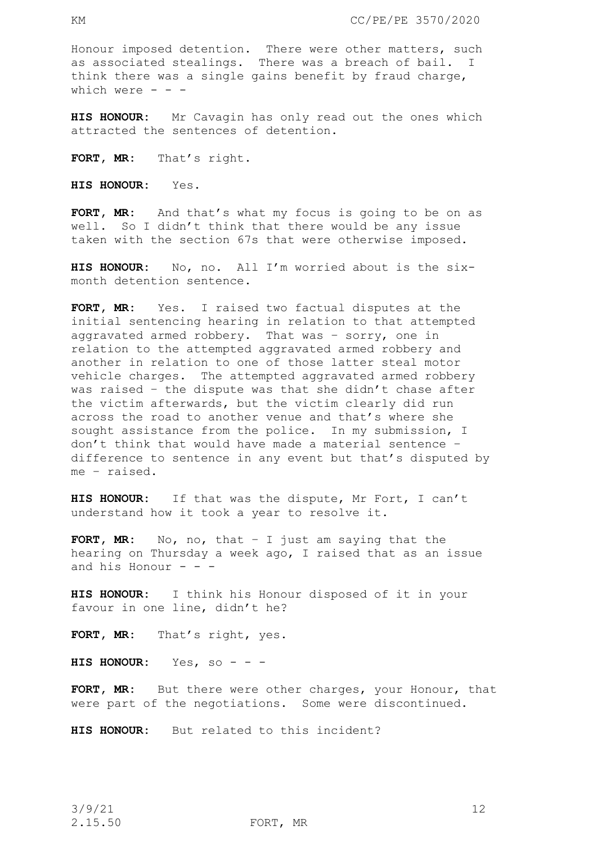Honour imposed detention. There were other matters, such as associated stealings. There was a breach of bail. I think there was a single gains benefit by fraud charge, which were  $- -$ 

**HIS HONOUR:** Mr Cavagin has only read out the ones which attracted the sentences of detention.

FORT, MR: That's right.

**HIS HONOUR:** Yes.

**FORT, MR:** And that's what my focus is going to be on as well. So I didn't think that there would be any issue taken with the section 67s that were otherwise imposed.

**HIS HONOUR:** No, no. All I'm worried about is the sixmonth detention sentence.

**FORT, MR:** Yes. I raised two factual disputes at the initial sentencing hearing in relation to that attempted aggravated armed robbery. That was – sorry, one in relation to the attempted aggravated armed robbery and another in relation to one of those latter steal motor vehicle charges. The attempted aggravated armed robbery was raised – the dispute was that she didn't chase after the victim afterwards, but the victim clearly did run across the road to another venue and that's where she sought assistance from the police. In my submission, I don't think that would have made a material sentence – difference to sentence in any event but that's disputed by me – raised.

**HIS HONOUR:** If that was the dispute, Mr Fort, I can't understand how it took a year to resolve it.

**FORT, MR:** No, no, that – I just am saying that the hearing on Thursday a week ago, I raised that as an issue and his Honour  $-$ 

**HIS HONOUR:** I think his Honour disposed of it in your favour in one line, didn't he?

**FORT, MR:** That's right, yes.

**HIS HONOUR:** Yes, so - - -

FORT, MR: But there were other charges, your Honour, that were part of the negotiations. Some were discontinued.

**HIS HONOUR:** But related to this incident?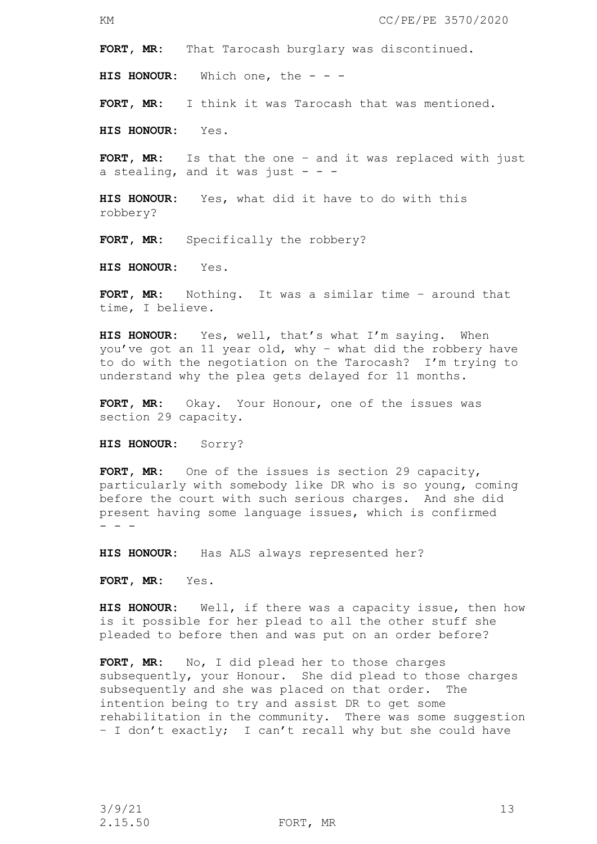**FORT, MR:** That Tarocash burglary was discontinued.

**HIS HONOUR:** Which one, the - - -

**FORT, MR:** I think it was Tarocash that was mentioned.

**HIS HONOUR:** Yes.

**FORT, MR:** Is that the one – and it was replaced with just a stealing, and it was just  $- -$ 

**HIS HONOUR:** Yes, what did it have to do with this robbery?

FORT, MR: Specifically the robbery?

**HIS HONOUR:** Yes.

**FORT, MR:** Nothing. It was a similar time – around that time, I believe.

**HIS HONOUR:** Yes, well, that's what I'm saying. When you've got an 11 year old, why – what did the robbery have to do with the negotiation on the Tarocash? I'm trying to understand why the plea gets delayed for 11 months.

**FORT, MR:** Okay. Your Honour, one of the issues was section 29 capacity.

**HIS HONOUR:** Sorry?

**FORT, MR:** One of the issues is section 29 capacity, particularly with somebody like DR who is so young, coming before the court with such serious charges. And she did present having some language issues, which is confirmed - - -

**HIS HONOUR:** Has ALS always represented her?

**FORT, MR:** Yes.

**HIS HONOUR:** Well, if there was a capacity issue, then how is it possible for her plead to all the other stuff she pleaded to before then and was put on an order before?

**FORT, MR:** No, I did plead her to those charges subsequently, your Honour. She did plead to those charges subsequently and she was placed on that order. The intention being to try and assist DR to get some rehabilitation in the community. There was some suggestion – I don't exactly; I can't recall why but she could have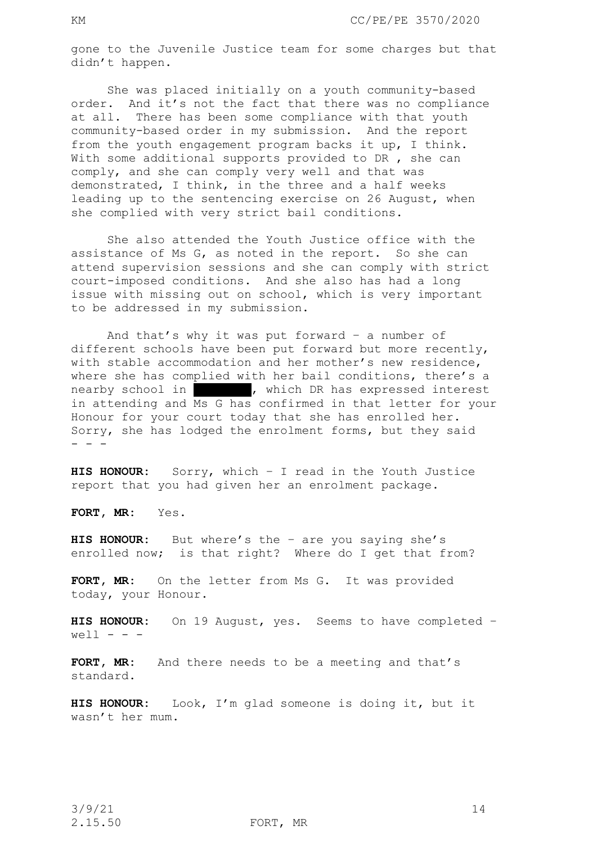gone to the Juvenile Justice team for some charges but that didn't happen.

She was placed initially on a youth community-based order. And it's not the fact that there was no compliance at all. There has been some compliance with that youth community-based order in my submission. And the report from the youth engagement program backs it up, I think. With some additional supports provided to DR, she can comply, and she can comply very well and that was demonstrated, I think, in the three and a half weeks leading up to the sentencing exercise on 26 August, when she complied with very strict bail conditions.

She also attended the Youth Justice office with the assistance of Ms G, as noted in the report. So she can attend supervision sessions and she can comply with strict court-imposed conditions. And she also has had a long issue with missing out on school, which is very important to be addressed in my submission.

And that's why it was put forward – a number of different schools have been put forward but more recently, with stable accommodation and her mother's new residence, where she has complied with her bail conditions, there's a nearby school in Theory which DR has expressed interest in attending and Ms G has confirmed in that letter for your Honour for your court today that she has enrolled her. Sorry, she has lodged the enrolment forms, but they said  $-$ 

**HIS HONOUR:** Sorry, which – I read in the Youth Justice report that you had given her an enrolment package.

**FORT, MR:** Yes.

**HIS HONOUR:** But where's the – are you saying she's enrolled now; is that right? Where do I get that from?

**FORT, MR:** On the letter from Ms G. It was provided today, your Honour.

**HIS HONOUR:** On 19 August, yes. Seems to have completed –  $well - - -$ 

**FORT, MR:** And there needs to be a meeting and that's standard.

**HIS HONOUR:** Look, I'm glad someone is doing it, but it wasn't her mum.

2.15.50 FORT, MR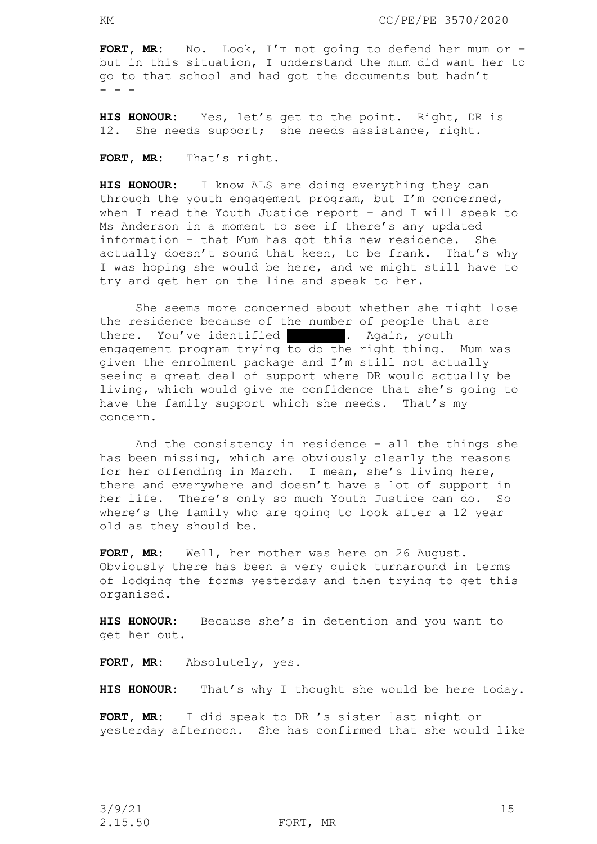**FORT, MR:** No. Look, I'm not going to defend her mum or – but in this situation, I understand the mum did want her to go to that school and had got the documents but hadn't - - -

**HIS HONOUR:** Yes, let's get to the point. Right, DR is 12. She needs support; she needs assistance, right.

**FORT, MR:** That's right.

**HIS HONOUR:** I know ALS are doing everything they can through the youth engagement program, but I'm concerned, when I read the Youth Justice report – and I will speak to Ms Anderson in a moment to see if there's any updated information – that Mum has got this new residence. She actually doesn't sound that keen, to be frank. That's why I was hoping she would be here, and we might still have to try and get her on the line and speak to her.

She seems more concerned about whether she might lose the residence because of the number of people that are there. You've identified **Clouman**, youth engagement program trying to do the right thing. Mum was given the enrolment package and I'm still not actually seeing a great deal of support where DR would actually be living, which would give me confidence that she's going to have the family support which she needs. That's my concern.

And the consistency in residence – all the things she has been missing, which are obviously clearly the reasons for her offending in March. I mean, she's living here, there and everywhere and doesn't have a lot of support in her life. There's only so much Youth Justice can do. So where's the family who are going to look after a 12 year old as they should be.

**FORT, MR:** Well, her mother was here on 26 August. Obviously there has been a very quick turnaround in terms of lodging the forms yesterday and then trying to get this organised.

**HIS HONOUR:** Because she's in detention and you want to get her out.

**FORT, MR:** Absolutely, yes.

**HIS HONOUR:** That's why I thought she would be here today.

**FORT, MR:** I did speak to DR 's sister last night or yesterday afternoon. She has confirmed that she would like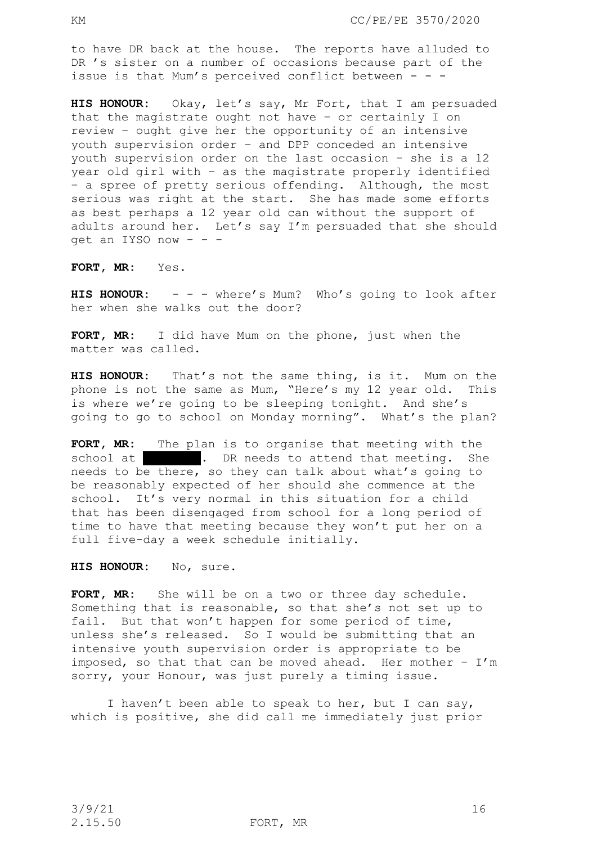to have DR back at the house. The reports have alluded to DR 's sister on a number of occasions because part of the issue is that Mum's perceived conflict between - - -

**HIS HONOUR:** Okay, let's say, Mr Fort, that I am persuaded that the magistrate ought not have – or certainly I on review – ought give her the opportunity of an intensive youth supervision order – and DPP conceded an intensive youth supervision order on the last occasion – she is a 12 year old girl with – as the magistrate properly identified – a spree of pretty serious offending. Although, the most serious was right at the start. She has made some efforts as best perhaps a 12 year old can without the support of adults around her. Let's say I'm persuaded that she should qet an IYSO now  $- -$ 

**FORT, MR:** Yes.

**HIS HONOUR:** - - - where's Mum? Who's going to look after her when she walks out the door?

**FORT, MR:** I did have Mum on the phone, just when the matter was called.

**HIS HONOUR:** That's not the same thing, is it. Mum on the phone is not the same as Mum, "Here's my 12 year old. This is where we're going to be sleeping tonight. And she's going to go to school on Monday morning". What's the plan?

**FORT, MR:** The plan is to organise that meeting with the school at  $\blacksquare$  . DR needs to attend that meeting. She needs to be there, so they can talk about what's going to be reasonably expected of her should she commence at the school. It's very normal in this situation for a child that has been disengaged from school for a long period of time to have that meeting because they won't put her on a full five-day a week schedule initially.

**HIS HONOUR:** No, sure.

FORT, MR: She will be on a two or three day schedule. Something that is reasonable, so that she's not set up to fail. But that won't happen for some period of time, unless she's released. So I would be submitting that an intensive youth supervision order is appropriate to be imposed, so that that can be moved ahead. Her mother -  $I'm$ sorry, your Honour, was just purely a timing issue.

I haven't been able to speak to her, but I can say, which is positive, she did call me immediately just prior

2.15.50 FORT, MR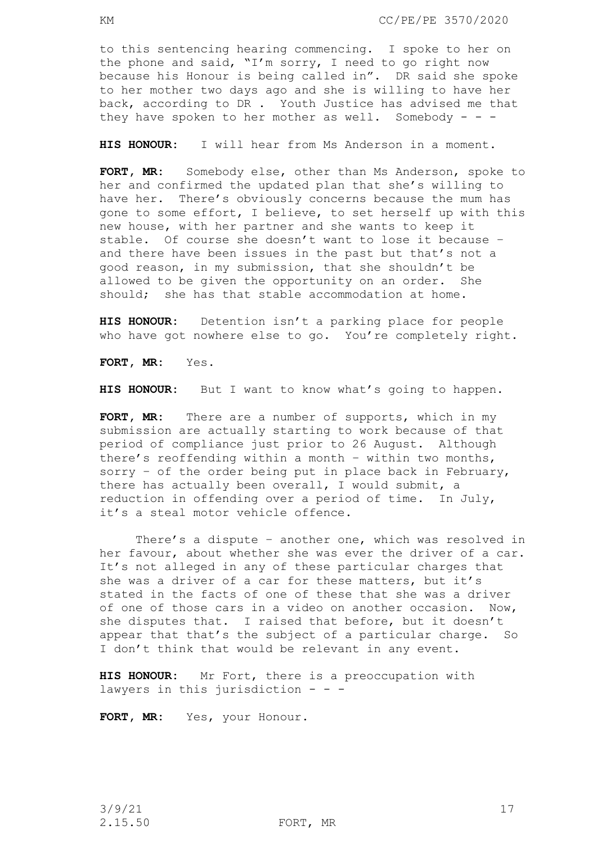to this sentencing hearing commencing. I spoke to her on the phone and said, "I'm sorry, I need to go right now because his Honour is being called in". DR said she spoke to her mother two days ago and she is willing to have her back, according to DR . Youth Justice has advised me that they have spoken to her mother as well. Somebody - - -

**HIS HONOUR:** I will hear from Ms Anderson in a moment.

**FORT, MR:** Somebody else, other than Ms Anderson, spoke to her and confirmed the updated plan that she's willing to have her. There's obviously concerns because the mum has gone to some effort, I believe, to set herself up with this new house, with her partner and she wants to keep it stable. Of course she doesn't want to lose it because – and there have been issues in the past but that's not a good reason, in my submission, that she shouldn't be allowed to be given the opportunity on an order. She should; she has that stable accommodation at home.

**HIS HONOUR:** Detention isn't a parking place for people who have got nowhere else to go. You're completely right.

**FORT, MR:** Yes.

**HIS HONOUR:** But I want to know what's going to happen.

**FORT, MR:** There are a number of supports, which in my submission are actually starting to work because of that period of compliance just prior to 26 August. Although there's reoffending within a month – within two months, sorry – of the order being put in place back in February, there has actually been overall, I would submit, a reduction in offending over a period of time. In July, it's a steal motor vehicle offence.

There's a dispute – another one, which was resolved in her favour, about whether she was ever the driver of a car. It's not alleged in any of these particular charges that she was a driver of a car for these matters, but it's stated in the facts of one of these that she was a driver of one of those cars in a video on another occasion. Now, she disputes that. I raised that before, but it doesn't appear that that's the subject of a particular charge. So I don't think that would be relevant in any event.

**HIS HONOUR:** Mr Fort, there is a preoccupation with lawyers in this jurisdiction  $- -$ 

FORT, MR: Yes, your Honour.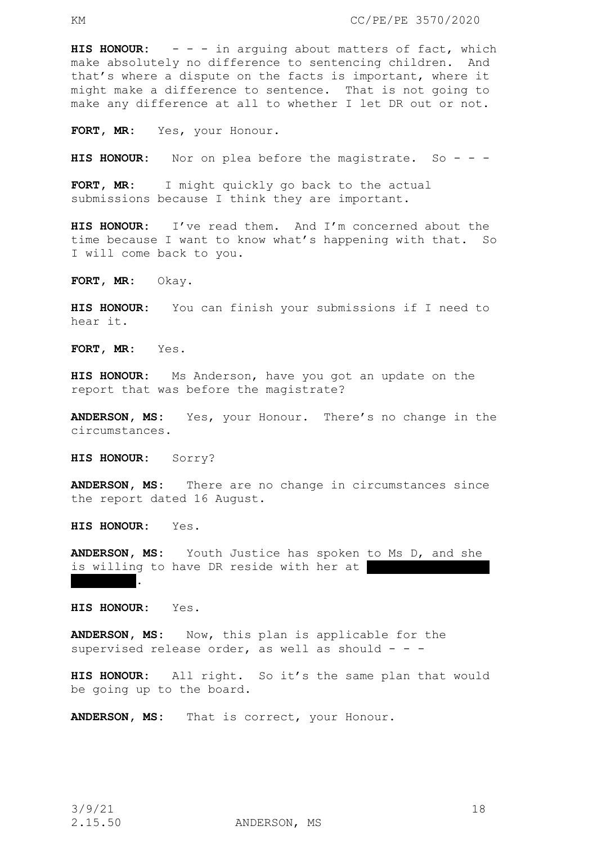**HIS HONOUR:** - - - in arguing about matters of fact, which make absolutely no difference to sentencing children. And that's where a dispute on the facts is important, where it might make a difference to sentence. That is not going to make any difference at all to whether I let DR out or not.

FORT, MR: Yes, your Honour.

HIS HONOUR: Nor on plea before the magistrate. So - - -

**FORT, MR:** I might quickly go back to the actual submissions because I think they are important.

**HIS HONOUR:** I've read them. And I'm concerned about the time because I want to know what's happening with that. So I will come back to you.

**FORT, MR:** Okay.

**HIS HONOUR:** You can finish your submissions if I need to hear it.

**FORT, MR:** Yes.

**HIS HONOUR:** Ms Anderson, have you got an update on the report that was before the magistrate?

**ANDERSON, MS:** Yes, your Honour. There's no change in the circumstances.

**HIS HONOUR:** Sorry?

**ANDERSON, MS:** There are no change in circumstances since the report dated 16 August.

**HIS HONOUR:** Yes.

**ANDERSON, MS:** Youth Justice has spoken to Ms D, and she is willing to have DR reside with her at Waterford.

**HIS HONOUR:** Yes.

**ANDERSON, MS:** Now, this plan is applicable for the supervised release order, as well as should  $- -$ 

**HIS HONOUR:** All right. So it's the same plan that would be going up to the board.

**ANDERSON, MS:** That is correct, your Honour.

 $3/9/21$  18

2.15.50 ANDERSON, MS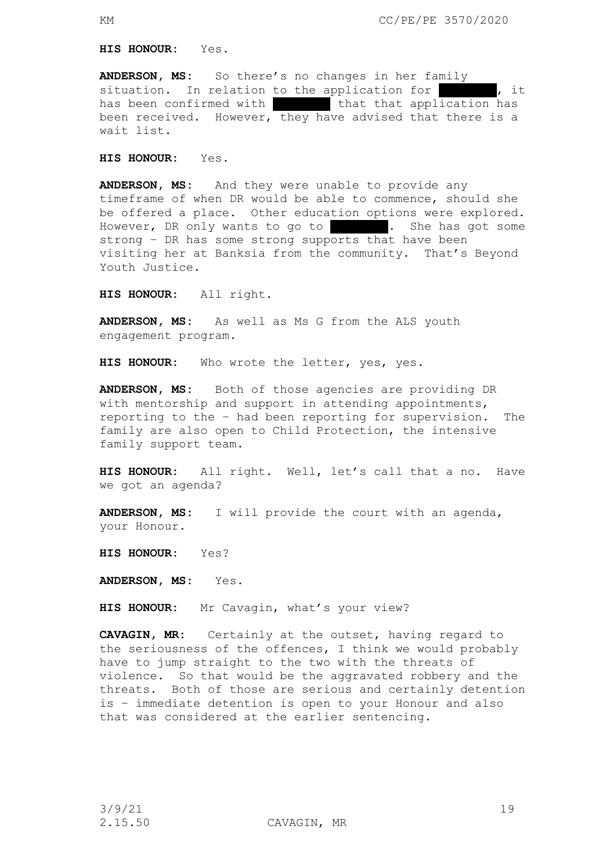**HIS HONOUR:** Yes.

**ANDERSON, MS:** So there's no changes in her family situation. In relation to the application for  $\blacksquare$ , it has been confirmed with That that that application has been received. However, they have advised that there is a wait list.

**HIS HONOUR:** Yes.

**ANDERSON, MS:** And they were unable to provide any timeframe of when DR would be able to commence, should she be offered a place. Other education options were explored. However, DR only wants to go to The She has got some strong – DR has some strong supports that have been visiting her at Banksia from the community. That's Beyond Youth Justice.

**HIS HONOUR:** All right.

**ANDERSON, MS:** As well as Ms G from the ALS youth engagement program.

**HIS HONOUR:** Who wrote the letter, yes, yes.

**ANDERSON, MS:** Both of those agencies are providing DR with mentorship and support in attending appointments, reporting to the – had been reporting for supervision. The family are also open to Child Protection, the intensive family support team.

**HIS HONOUR:** All right. Well, let's call that a no. Have we got an agenda?

**ANDERSON, MS:** I will provide the court with an agenda, your Honour.

**HIS HONOUR:** Yes?

**ANDERSON, MS:** Yes.

**HIS HONOUR:** Mr Cavagin, what's your view?

**CAVAGIN, MR:** Certainly at the outset, having regard to the seriousness of the offences, I think we would probably have to jump straight to the two with the threats of violence. So that would be the aggravated robbery and the threats. Both of those are serious and certainly detention is – immediate detention is open to your Honour and also that was considered at the earlier sentencing.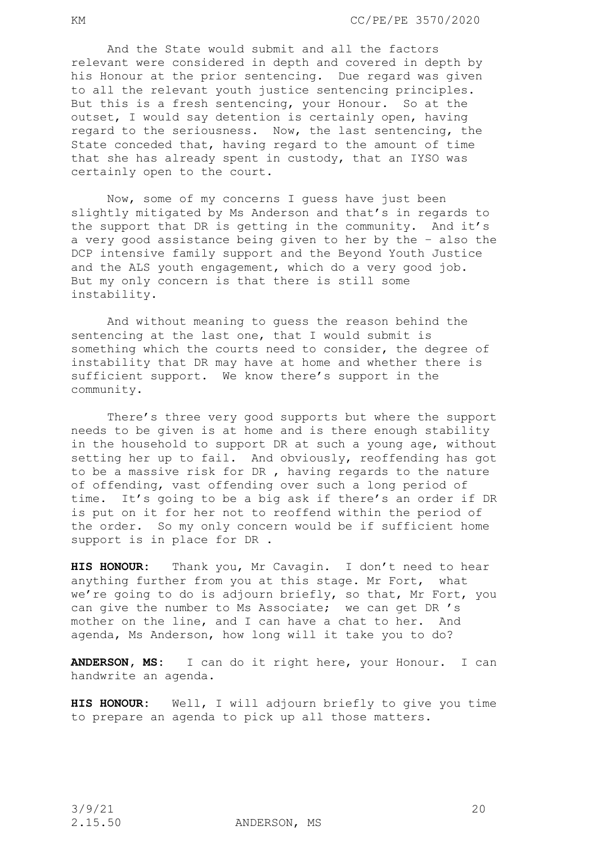And the State would submit and all the factors relevant were considered in depth and covered in depth by his Honour at the prior sentencing. Due regard was given to all the relevant youth justice sentencing principles. But this is a fresh sentencing, your Honour. So at the outset, I would say detention is certainly open, having regard to the seriousness. Now, the last sentencing, the State conceded that, having regard to the amount of time that she has already spent in custody, that an IYSO was certainly open to the court.

Now, some of my concerns I guess have just been slightly mitigated by Ms Anderson and that's in regards to the support that DR is getting in the community. And it's a very good assistance being given to her by the – also the DCP intensive family support and the Beyond Youth Justice and the ALS youth engagement, which do a very good job. But my only concern is that there is still some instability.

And without meaning to guess the reason behind the sentencing at the last one, that I would submit is something which the courts need to consider, the degree of instability that DR may have at home and whether there is sufficient support. We know there's support in the community.

There's three very good supports but where the support needs to be given is at home and is there enough stability in the household to support DR at such a young age, without setting her up to fail. And obviously, reoffending has got to be a massive risk for DR , having regards to the nature of offending, vast offending over such a long period of time. It's going to be a big ask if there's an order if DR is put on it for her not to reoffend within the period of the order. So my only concern would be if sufficient home support is in place for DR .

**HIS HONOUR:** Thank you, Mr Cavagin. I don't need to hear anything further from you at this stage. Mr Fort, what we're going to do is adjourn briefly, so that, Mr Fort, you can give the number to Ms Associate; we can get DR 's mother on the line, and I can have a chat to her. And agenda, Ms Anderson, how long will it take you to do?

**ANDERSON, MS:** I can do it right here, your Honour. I can handwrite an agenda.

**HIS HONOUR:** Well, I will adjourn briefly to give you time to prepare an agenda to pick up all those matters.

2.15.50 ANDERSON, MS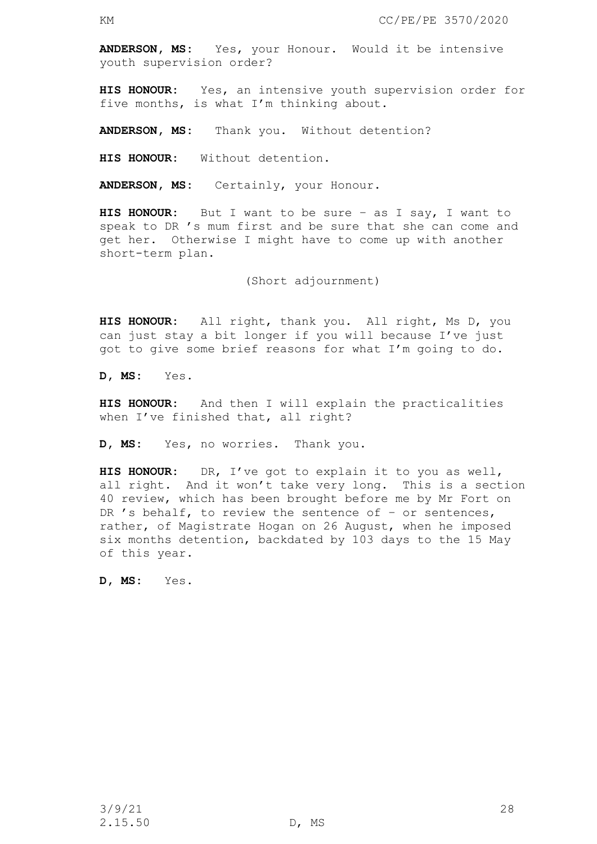**ANDERSON, MS:** Yes, your Honour. Would it be intensive youth supervision order?

**HIS HONOUR:** Yes, an intensive youth supervision order for five months, is what I'm thinking about.

**ANDERSON, MS:** Thank you. Without detention?

**HIS HONOUR:** Without detention.

**ANDERSON, MS:** Certainly, your Honour.

**HIS HONOUR:** But I want to be sure – as I say, I want to speak to DR 's mum first and be sure that she can come and get her. Otherwise I might have to come up with another short-term plan.

(Short adjournment)

**HIS HONOUR:** All right, thank you. All right, Ms D, you can just stay a bit longer if you will because I've just got to give some brief reasons for what I'm going to do.

**D, MS:** Yes.

**HIS HONOUR:** And then I will explain the practicalities when I've finished that, all right?

**D, MS:** Yes, no worries. Thank you.

**HIS HONOUR:** DR, I've got to explain it to you as well, all right. And it won't take very long. This is a section 40 review, which has been brought before me by Mr Fort on DR 's behalf, to review the sentence of  $-$  or sentences, rather, of Magistrate Hogan on 26 August, when he imposed six months detention, backdated by 103 days to the 15 May of this year.

**D, MS:** Yes.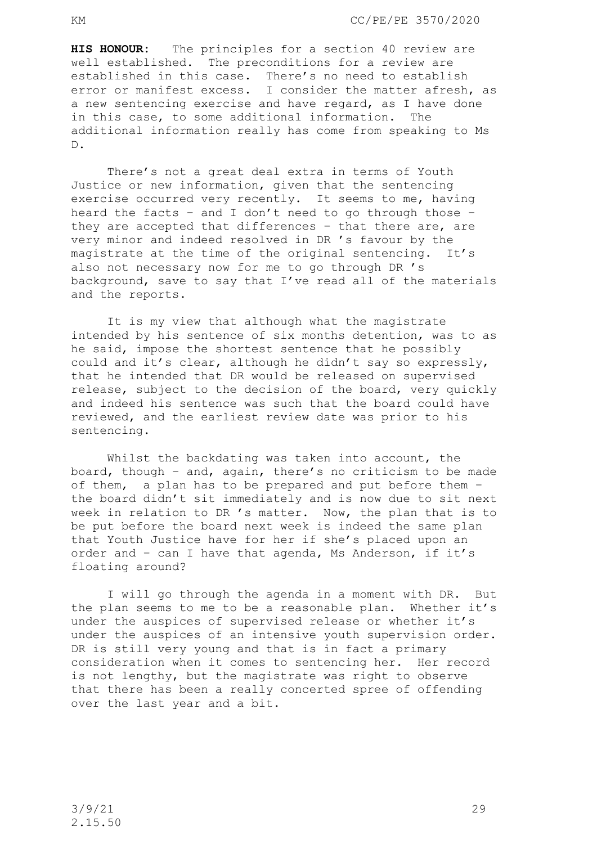**HIS HONOUR:** The principles for a section 40 review are well established. The preconditions for a review are established in this case. There's no need to establish error or manifest excess. I consider the matter afresh, as a new sentencing exercise and have regard, as I have done in this case, to some additional information. The additional information really has come from speaking to Ms D.

There's not a great deal extra in terms of Youth Justice or new information, given that the sentencing exercise occurred very recently. It seems to me, having heard the facts – and I don't need to go through those – they are accepted that differences – that there are, are very minor and indeed resolved in DR 's favour by the magistrate at the time of the original sentencing. It's also not necessary now for me to go through DR 's background, save to say that I've read all of the materials and the reports.

It is my view that although what the magistrate intended by his sentence of six months detention, was to as he said, impose the shortest sentence that he possibly could and it's clear, although he didn't say so expressly, that he intended that DR would be released on supervised release, subject to the decision of the board, very quickly and indeed his sentence was such that the board could have reviewed, and the earliest review date was prior to his sentencing.

Whilst the backdating was taken into account, the board, though – and, again, there's no criticism to be made of them, a plan has to be prepared and put before them – the board didn't sit immediately and is now due to sit next week in relation to DR 's matter. Now, the plan that is to be put before the board next week is indeed the same plan that Youth Justice have for her if she's placed upon an order and – can I have that agenda, Ms Anderson, if it's floating around?

I will go through the agenda in a moment with DR. But the plan seems to me to be a reasonable plan. Whether it's under the auspices of supervised release or whether it's under the auspices of an intensive youth supervision order. DR is still very young and that is in fact a primary consideration when it comes to sentencing her. Her record is not lengthy, but the magistrate was right to observe that there has been a really concerted spree of offending over the last year and a bit.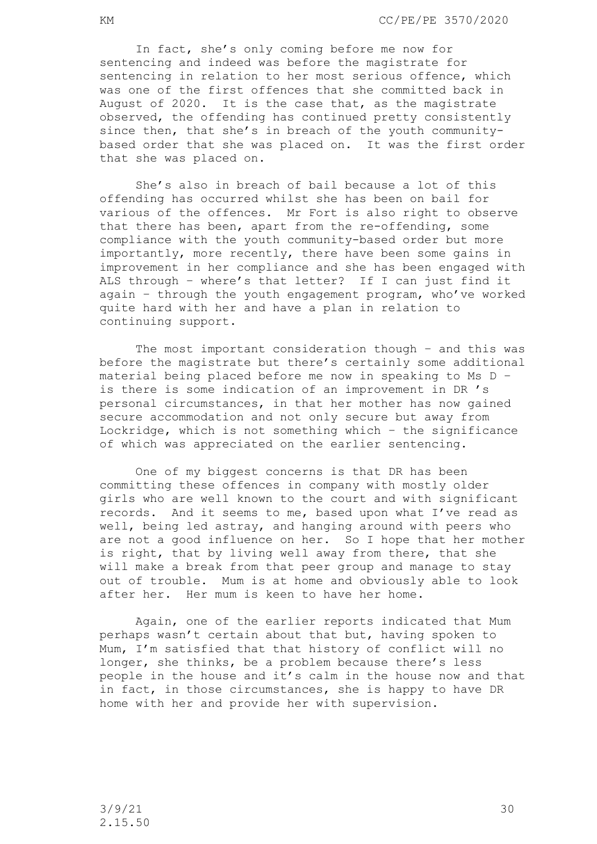In fact, she's only coming before me now for sentencing and indeed was before the magistrate for sentencing in relation to her most serious offence, which was one of the first offences that she committed back in August of 2020. It is the case that, as the magistrate observed, the offending has continued pretty consistently since then, that she's in breach of the youth communitybased order that she was placed on. It was the first order that she was placed on.

She's also in breach of bail because a lot of this offending has occurred whilst she has been on bail for various of the offences. Mr Fort is also right to observe that there has been, apart from the re-offending, some compliance with the youth community-based order but more importantly, more recently, there have been some gains in improvement in her compliance and she has been engaged with ALS through – where's that letter? If I can just find it again – through the youth engagement program, who've worked quite hard with her and have a plan in relation to continuing support.

 The most important consideration though – and this was before the magistrate but there's certainly some additional material being placed before me now in speaking to Ms D – is there is some indication of an improvement in DR 's personal circumstances, in that her mother has now gained secure accommodation and not only secure but away from Lockridge, which is not something which – the significance of which was appreciated on the earlier sentencing.

One of my biggest concerns is that DR has been committing these offences in company with mostly older girls who are well known to the court and with significant records. And it seems to me, based upon what I've read as well, being led astray, and hanging around with peers who are not a good influence on her. So I hope that her mother is right, that by living well away from there, that she will make a break from that peer group and manage to stay out of trouble. Mum is at home and obviously able to look after her. Her mum is keen to have her home.

Again, one of the earlier reports indicated that Mum perhaps wasn't certain about that but, having spoken to Mum, I'm satisfied that that history of conflict will no longer, she thinks, be a problem because there's less people in the house and it's calm in the house now and that in fact, in those circumstances, she is happy to have DR home with her and provide her with supervision.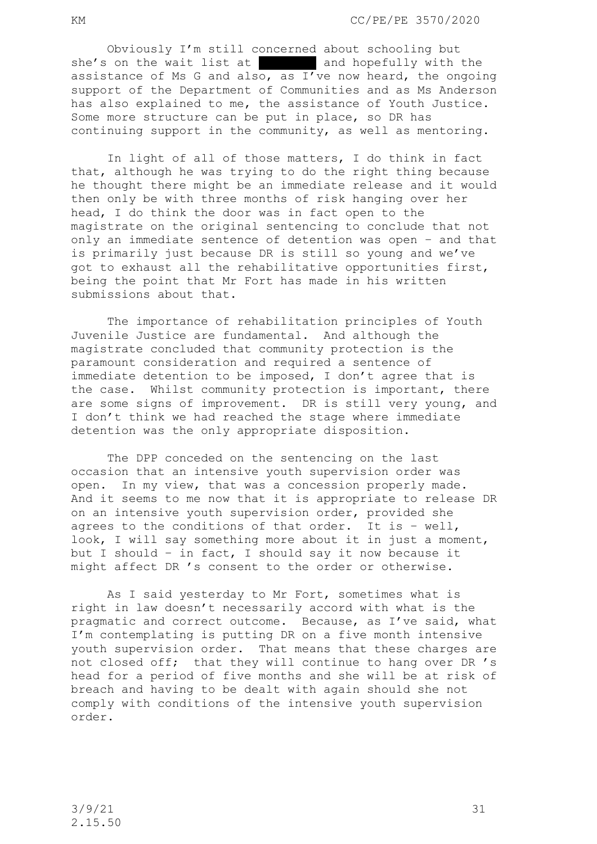Obviously I'm still concerned about schooling but she's on the wait list at  $\begin{bmatrix} 1 & 1 \\ 0 & 1 \end{bmatrix}$  and hopefully with the assistance of Ms G and also, as  $I'$  ve now heard, the ongoing support of the Department of Communities and as Ms Anderson has also explained to me, the assistance of Youth Justice. Some more structure can be put in place, so DR has continuing support in the community, as well as mentoring.

In light of all of those matters, I do think in fact that, although he was trying to do the right thing because he thought there might be an immediate release and it would then only be with three months of risk hanging over her head, I do think the door was in fact open to the magistrate on the original sentencing to conclude that not only an immediate sentence of detention was open – and that is primarily just because DR is still so young and we've got to exhaust all the rehabilitative opportunities first, being the point that Mr Fort has made in his written submissions about that.

The importance of rehabilitation principles of Youth Juvenile Justice are fundamental. And although the magistrate concluded that community protection is the paramount consideration and required a sentence of immediate detention to be imposed, I don't agree that is the case. Whilst community protection is important, there are some signs of improvement. DR is still very young, and I don't think we had reached the stage where immediate detention was the only appropriate disposition.

The DPP conceded on the sentencing on the last occasion that an intensive youth supervision order was open. In my view, that was a concession properly made. And it seems to me now that it is appropriate to release DR on an intensive youth supervision order, provided she agrees to the conditions of that order. It is – well, look, I will say something more about it in just a moment, but I should – in fact, I should say it now because it might affect DR 's consent to the order or otherwise.

As I said yesterday to Mr Fort, sometimes what is right in law doesn't necessarily accord with what is the pragmatic and correct outcome. Because, as I've said, what I'm contemplating is putting DR on a five month intensive youth supervision order. That means that these charges are not closed off; that they will continue to hang over DR 's head for a period of five months and she will be at risk of breach and having to be dealt with again should she not comply with conditions of the intensive youth supervision order.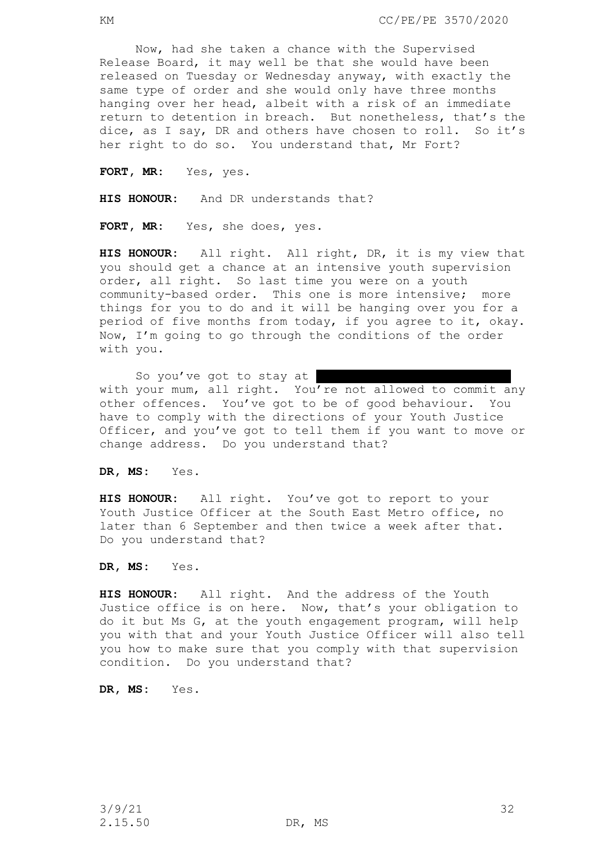Now, had she taken a chance with the Supervised Release Board, it may well be that she would have been released on Tuesday or Wednesday anyway, with exactly the same type of order and she would only have three months hanging over her head, albeit with a risk of an immediate return to detention in breach. But nonetheless, that's the dice, as I say, DR and others have chosen to roll. So it's her right to do so. You understand that, Mr Fort?

**FORT, MR:** Yes, yes.

**HIS HONOUR:** And DR understands that?

**FORT, MR:** Yes, she does, yes.

**HIS HONOUR:** All right. All right, DR, it is my view that you should get a chance at an intensive youth supervision order, all right. So last time you were on a youth community-based order. This one is more intensive; more things for you to do and it will be hanging over you for a period of five months from today, if you agree to it, okay. Now, I'm going to go through the conditions of the order with you.

So you've got to stay at with your mum, all right. You're not allowed to commit any other offences. You've got to be of good behaviour. You have to comply with the directions of your Youth Justice Officer, and you've got to tell them if you want to move or change address. Do you understand that?

**DR, MS:** Yes.

**HIS HONOUR:** All right. You've got to report to your Youth Justice Officer at the South East Metro office, no later than 6 September and then twice a week after that. Do you understand that?

**DR, MS:** Yes.

**HIS HONOUR:** All right. And the address of the Youth Justice office is on here. Now, that's your obligation to do it but Ms G, at the youth engagement program, will help you with that and your Youth Justice Officer will also tell you how to make sure that you comply with that supervision condition. Do you understand that?

**DR, MS:** Yes.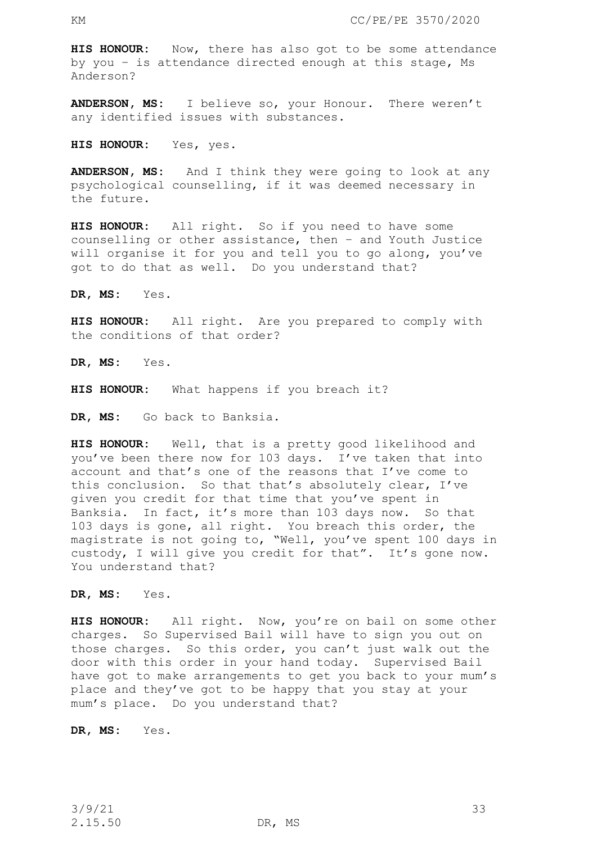**HIS HONOUR:** Now, there has also got to be some attendance by you – is attendance directed enough at this stage, Ms Anderson?

**ANDERSON, MS:** I believe so, your Honour. There weren't any identified issues with substances.

**HIS HONOUR:** Yes, yes.

**ANDERSON, MS:** And I think they were going to look at any psychological counselling, if it was deemed necessary in the future.

**HIS HONOUR:** All right. So if you need to have some counselling or other assistance, then – and Youth Justice will organise it for you and tell you to go along, you've got to do that as well. Do you understand that?

**DR, MS:** Yes.

**HIS HONOUR:** All right. Are you prepared to comply with the conditions of that order?

**DR, MS:** Yes.

**HIS HONOUR:** What happens if you breach it?

**DR, MS:** Go back to Banksia.

**HIS HONOUR:** Well, that is a pretty good likelihood and you've been there now for 103 days. I've taken that into account and that's one of the reasons that I've come to this conclusion. So that that's absolutely clear, I've given you credit for that time that you've spent in Banksia. In fact, it's more than 103 days now. So that 103 days is gone, all right. You breach this order, the magistrate is not going to, "Well, you've spent 100 days in custody, I will give you credit for that". It's gone now. You understand that?

**DR, MS:** Yes.

**HIS HONOUR:** All right. Now, you're on bail on some other charges. So Supervised Bail will have to sign you out on those charges. So this order, you can't just walk out the door with this order in your hand today. Supervised Bail have got to make arrangements to get you back to your mum's place and they've got to be happy that you stay at your mum's place. Do you understand that?

**DR, MS:** Yes.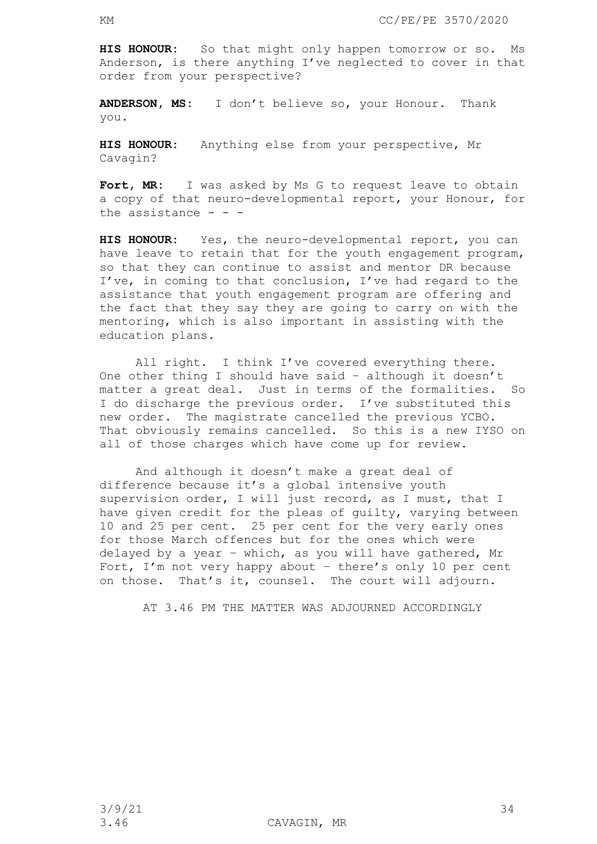**HIS HONOUR:** So that might only happen tomorrow or so. Ms Anderson, is there anything I've neglected to cover in that order from your perspective?

**ANDERSON, MS:** I don't believe so, your Honour. Thank you.

**HIS HONOUR:** Anything else from your perspective, Mr Cavagin?

Fort, MR: I was asked by Ms G to request leave to obtain a copy of that neuro-developmental report, your Honour, for the assistance  $- -$ 

**HIS HONOUR:** Yes, the neuro-developmental report, you can have leave to retain that for the youth engagement program, so that they can continue to assist and mentor DR because I've, in coming to that conclusion, I've had regard to the assistance that youth engagement program are offering and the fact that they say they are going to carry on with the mentoring, which is also important in assisting with the education plans.

All right. I think I've covered everything there. One other thing I should have said – although it doesn't matter a great deal. Just in terms of the formalities. So I do discharge the previous order. I've substituted this new order. The magistrate cancelled the previous YCBO. That obviously remains cancelled. So this is a new IYSO on all of those charges which have come up for review.

And although it doesn't make a great deal of difference because it's a global intensive youth supervision order, I will just record, as I must, that I have given credit for the pleas of guilty, varying between 10 and 25 per cent. 25 per cent for the very early ones for those March offences but for the ones which were delayed by a year – which, as you will have gathered, Mr Fort, I'm not very happy about – there's only 10 per cent on those. That's it, counsel. The court will adjourn.

AT 3.46 PM THE MATTER WAS ADJOURNED ACCORDINGLY

 $3/9/21$  34

3.46 CAVAGIN, MR